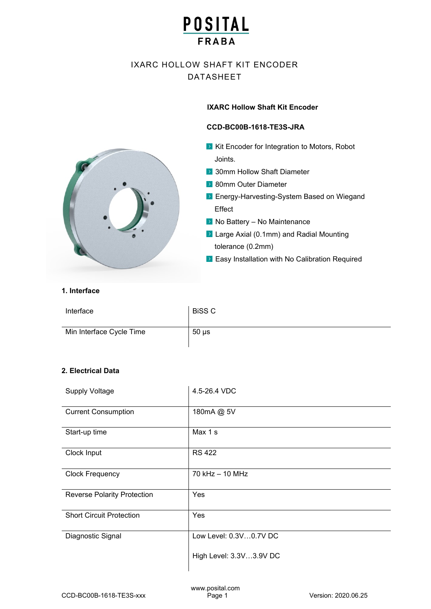# IXARC HOLLOW SHAFT KIT ENCODER DATASHEET

## **IXARC Hollow Shaft Kit Encoder**

### **CCD-BC00B-1618-TE3S-JRA**

- $\triangleright$  Kit Encoder for Integration to Motors, Robot Joints.
- **30mm Hollow Shaft Diameter**
- 80mm Outer Diameter
- **Energy-Harvesting-System Based on Wiegand** Effect
- $\blacktriangleright$  No Battery No Maintenance
- ▶ Large Axial (0.1mm) and Radial Mounting tolerance (0.2mm)
- ▶ Easy Installation with No Calibration Required



### **1. Interface**

| Interface                | <b>BiSS C</b> |
|--------------------------|---------------|
| Min Interface Cycle Time | $50 \mu s$    |

# **2. Electrical Data**

| <b>Supply Voltage</b>              | 4.5-26.4 VDC            |
|------------------------------------|-------------------------|
| <b>Current Consumption</b>         | 180mA @ 5V              |
| Start-up time                      | Max 1 s                 |
| Clock Input                        | <b>RS 422</b>           |
| <b>Clock Frequency</b>             | 70 kHz - 10 MHz         |
| <b>Reverse Polarity Protection</b> | Yes                     |
| <b>Short Circuit Protection</b>    | Yes                     |
| Diagnostic Signal                  | Low Level: 0.3V0.7V DC  |
|                                    | High Level: 3.3V3.9V DC |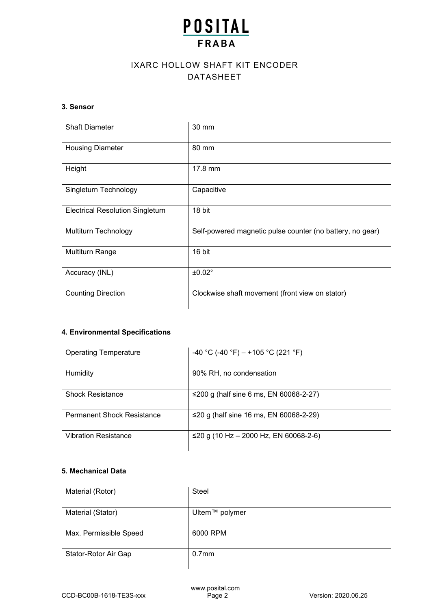# IXARC HOLLOW SHAFT KIT ENCODER DATASHEET

## **3. Sensor**

| <b>Shaft Diameter</b>                   | 30 mm                                                     |
|-----------------------------------------|-----------------------------------------------------------|
| <b>Housing Diameter</b>                 | 80 mm                                                     |
| Height                                  | 17.8 mm                                                   |
| Singleturn Technology                   | Capacitive                                                |
| <b>Electrical Resolution Singleturn</b> | 18 bit                                                    |
| Multiturn Technology                    | Self-powered magnetic pulse counter (no battery, no gear) |
| <b>Multiturn Range</b>                  | 16 bit                                                    |
| Accuracy (INL)                          | ±0.02°                                                    |
| <b>Counting Direction</b>               | Clockwise shaft movement (front view on stator)           |

# **4. Environmental Specifications**

| <b>Operating Temperature</b>      | -40 °C (-40 °F) – +105 °C (221 °F)     |
|-----------------------------------|----------------------------------------|
| Humidity                          | 90% RH, no condensation                |
| <b>Shock Resistance</b>           | ≤200 g (half sine 6 ms, EN 60068-2-27) |
| <b>Permanent Shock Resistance</b> | ≤20 g (half sine 16 ms, EN 60068-2-29) |
| <b>Vibration Resistance</b>       | ≤20 g (10 Hz – 2000 Hz, EN 60068-2-6)  |

# **5. Mechanical Data**

| Material (Rotor)       | Steel             |
|------------------------|-------------------|
| Material (Stator)      | Ultem™ polymer    |
| Max. Permissible Speed | 6000 RPM          |
| Stator-Rotor Air Gap   | 0.7 <sub>mm</sub> |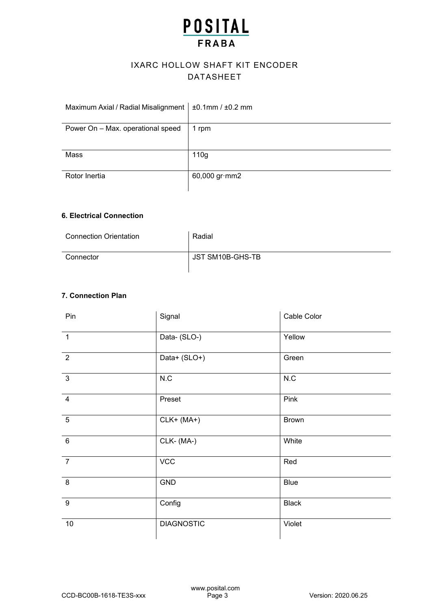# IXARC HOLLOW SHAFT KIT ENCODER DATASHEET

| Maximum Axial / Radial Misalignment | $±0.1$ mm / $±0.2$ mm |
|-------------------------------------|-----------------------|
| Power On - Max. operational speed   | 1 rpm                 |
| Mass                                | 110 <sub>g</sub>      |
| Rotor Inertia                       | 60,000 gr·mm2         |

## **6. Electrical Connection**

| <b>Connection Orientation</b> | Radial           |
|-------------------------------|------------------|
| Connector                     | JST SM10B-GHS-TB |

# **7. Connection Plan**

| Pin             | Signal            | Cable Color  |
|-----------------|-------------------|--------------|
| $\overline{1}$  | Data- (SLO-)      | Yellow       |
| $\overline{2}$  | Data+ (SLO+)      | Green        |
| $\overline{3}$  | N.C               | N.C          |
| $\overline{4}$  | Preset            | Pink         |
| $5\phantom{.0}$ | $CLK+ (MA+)$      | <b>Brown</b> |
| $6\phantom{1}6$ | CLK-(MA-)         | White        |
| $\overline{7}$  | <b>VCC</b>        | Red          |
| 8               | GND               | <b>Blue</b>  |
| 9               | Config            | <b>Black</b> |
| $10$            | <b>DIAGNOSTIC</b> | Violet       |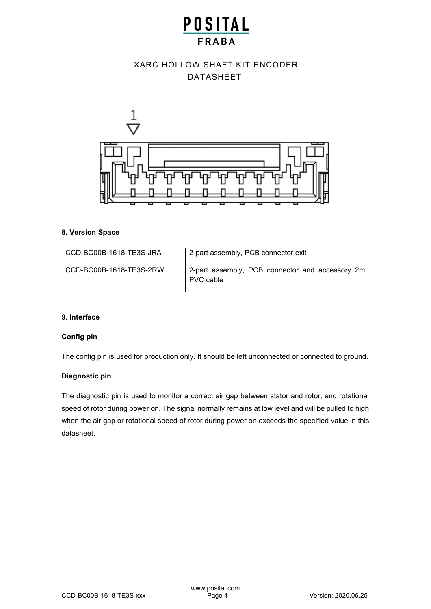# **POSITAL**

# IXARC HOLLOW SHAFT KIT ENCODER DATASHEET



### **8. Version Space**

CCD-BC00B-1618-TE3S-JRA 2-part assembly, PCB connector exit

CCD-BC00B-1618-TE3S-2RW 2-part assembly, PCB connector and accessory 2m PVC cable

### **9. Interface**

## **Config pin**

The config pin is used for production only. It should be left unconnected or connected to ground.

### **Diagnostic pin**

The diagnostic pin is used to monitor a correct air gap between stator and rotor, and rotational speed of rotor during power on. The signal normally remains at low level and will be pulled to high when the air gap or rotational speed of rotor during power on exceeds the specified value in this datasheet.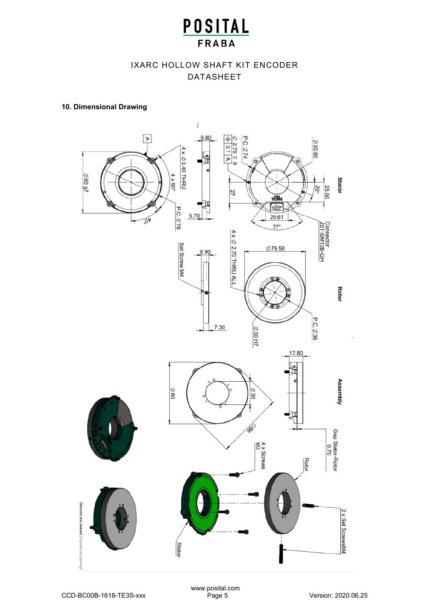# IXARC HOLLOW SHAFT KIT ENCODER DATASHEET

## **10. Dimensional Drawing**